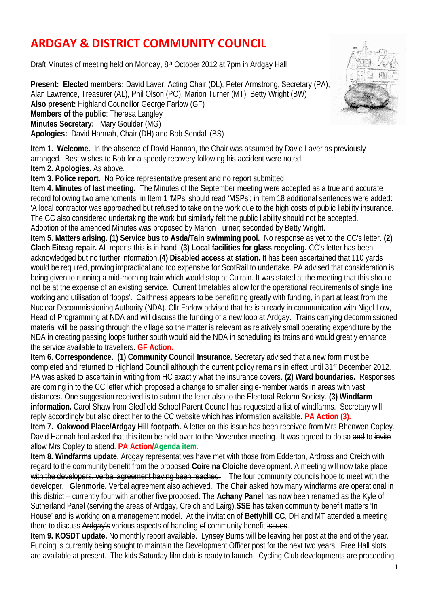## **ARDGAY & DISTRICT COMMUNITY COUNCIL**

Draft Minutes of meeting held on Monday, 8<sup>th</sup> October 2012 at 7pm in Ardgay Hall

**Present: Elected members:** David Laver, Acting Chair (DL), Peter Armstrong, Secretary (PA), Alan Lawrence, Treasurer (AL), Phil Olson (PO), Marion Turner (MT), Betty Wright (BW) **Also present:** Highland Councillor George Farlow (GF) **Members of the public**: Theresa Langley **Minutes Secretary:** Mary Goulder (MG) **Apologies:** David Hannah, Chair (DH) and Bob Sendall (BS)



**Item 1. Welcome.** In the absence of David Hannah, the Chair was assumed by David Laver as previously arranged. Best wishes to Bob for a speedy recovery following his accident were noted. **Item 2. Apologies.** As above.

**Item 3. Police report.** No Police representative present and no report submitted.

**Item 4. Minutes of last meeting.** The Minutes of the September meeting were accepted as a true and accurate record following two amendments: in Item 1 'MPs' should read 'MSPs'; in Item 18 additional sentences were added: 'A local contractor was approached but refused to take on the work due to the high costs of public liability insurance. The CC also considered undertaking the work but similarly felt the public liability should not be accepted.' Adoption of the amended Minutes was proposed by Marion Turner; seconded by Betty Wright.

**Item 5. Matters arising. (1) Service bus to Asda/Tain swimming pool.** No response as yet to the CC's letter. **(2) Clach Eiteag repair.** AL reports this is in hand. **(3) Local facilities for glass recycling.** CC's letter has been acknowledged but no further information.**(4) Disabled access at station.** It has been ascertained that 110 yards would be required, proving impractical and too expensive for ScotRail to undertake. PA advised that consideration is being given to running a mid-morning train which would stop at Culrain. It was stated at the meeting that this should not be at the expense of an existing service. Current timetables allow for the operational requirements of single line working and utilisation of 'loops'. Caithness appears to be benefitting greatly with funding, in part at least from the Nuclear Decommissioning Authority (NDA). Cllr Farlow advised that he is already in communication with Nigel Low, Head of Programming at NDA and will discuss the funding of a new loop at Ardgay. Trains carrying decommissioned material will be passing through the village so the matter is relevant as relatively small operating expenditure by the NDA in creating passing loops further south would aid the NDA in scheduling its trains and would greatly enhance the service available to travellers. **GF Action.**

**Item 6. Correspondence. (1) Community Council Insurance.** Secretary advised that a new form must be completed and returned to Highland Council although the current policy remains in effect until 31<sup>st</sup> December 2012. PA was asked to ascertain in writing from HC exactly what the insurance covers. **(2) Ward boundaries.** Responses are coming in to the CC letter which proposed a change to smaller single-member wards in areas with vast distances. One suggestion received is to submit the letter also to the Electoral Reform Society. **(3) Windfarm information.** Carol Shaw from Gledfield School Parent Council has requested a list of windfarms. Secretary will reply accordingly but also direct her to the CC website which has information available. **PA Action (3).**

**Item 7. Oakwood Place/Ardgay Hill footpath.** A letter on this issue has been received from Mrs Rhonwen Copley. David Hannah had asked that this item be held over to the November meeting. It was agreed to do so and to invite allow Mrs Copley to attend. **PA Action/Agenda item.**

**Item 8. Windfarms update.** Ardgay representatives have met with those from Edderton, Ardross and Creich with regard to the community benefit from the proposed **Coire na Cloiche** development. A meeting will now take place with the developers, verbal agreement having been reached. The four community councils hope to meet with the developer. **Glenmorie.** Verbal agreement also achieved. The Chair asked how many windfarms are operational in this district – currently four with another five proposed. The **Achany Panel** has now been renamed as the Kyle of Sutherland Panel (serving the areas of Ardgay, Creich and Lairg).**SSE** has taken community benefit matters 'In House' and is working on a management model. At the invitation of **Bettyhill CC**, DH and MT attended a meeting there to discuss Ardgay's various aspects of handling of community benefit issues.

**Item 9. KOSDT update.** No monthly report available. Lynsey Burns will be leaving her post at the end of the year. Funding is currently being sought to maintain the Development Officer post for the next two years. Free Hall slots are available at present. The kids Saturday film dub is ready to launch. Cyding Club developments are proceeding.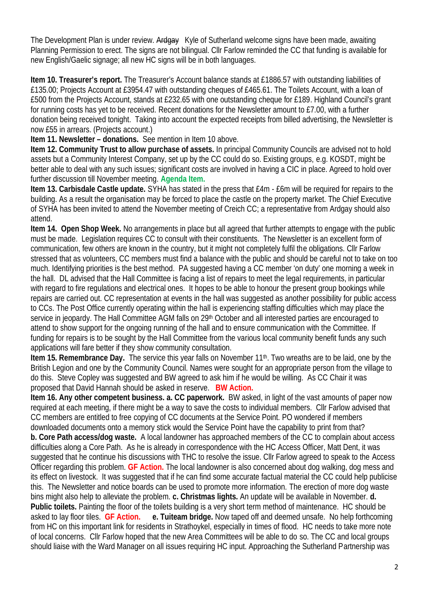The Development Plan is under review. Ardgay Kyle of Sutherland welcome signs have been made, awaiting Planning Permission to erect. The signs are not bilingual. Cllr Farlow reminded the CC that funding is available for new English/Gaelic signage; all new HC signs will be in both languages.

**Item 10. Treasurer's report.** The Treasurer's Account balance stands at £1886.57 with outstanding liabilities of £135.00; Projects Account at £3954.47 with outstanding cheques of £465.61. The Toilets Account, with a loan of £500 from the Projects Account, stands at £232.65 with one outstanding cheque for £189. Highland Council's grant for running costs has yet to be received. Recent donations for the Newsletter amount to £7.00, with a further donation being received tonight. Taking into account the expected receipts from billed advertising, the Newsletter is now £55 in arrears. (Projects account.)

**Item 11. Newsletter – donations.** See mention in Item 10 above.

**Item 12. Community Trust to allow purchase of assets.** In principal Community Councils are advised not to hold assets but a Community Interest Company, set up by the CC could do so. Existing groups, e.g. KOSDT, might be better able to deal with any such issues; significant costs are involved in having a CIC in place. Agreed to hold over further discussion till November meeting. **Agenda Item.**

**Item 13. Carbisdale Castle update.** SYHA has stated in the press that £4m - £6m will be required for repairs to the building. As a result the organisation may be forced to place the castle on the property market. The Chief Executive of SYHA has been invited to attend the November meeting of Creich CC; a representative from Ardgay should also attend.

**Item 14. Open Shop Week.** No arrangements in place but all agreed that further attempts to engage with the public must be made. Legislation requires CC to consult with their constituents. The Newsletter is an excellent form of communication, few others are known in the country, but it might not completely fulfil the obligations. Cllr Farlow stressed that as volunteers, CC members must find a balance with the public and should be careful not to take on too much. Identifying priorities is the best method. PA suggested having a CC member 'on duty' one morning a week in the hall. DL advised that the Hall Committee is facing a list of repairs to meet the legal requirements, in particular with regard to fire regulations and electrical ones. It hopes to be able to honour the present group bookings while repairs are carried out. CC representation at events in the hall was suggested as another possibility for public access to CCs. The Post Office currently operating within the hall is experiencing staffing difficulties which may place the service in jeopardy. The Hall Committee AGM falls on 29<sup>th</sup> October and all interested parties are encouraged to attend to show support for the ongoing running of the hall and to ensure communication with the Committee. If funding for repairs is to be sought by the Hall Committee from the various local community benefit funds any such applications will fare better if they show community consultation.

**Item 15. Remembrance Day.** The service this year falls on November 11<sup>th</sup>. Two wreaths are to be laid, one by the British Legion and one by the Community Council. Names were sought for an appropriate person from the village to do this. Steve Copley was suggested and BW agreed to ask him if he would be willing. As CC Chair it was proposed that David Hannah should be asked in reserve. **BW Action.**

**Item 16. Any other competent business. a. CC paperwork.** BW asked, in light of the vast amounts of paper now required at each meeting, if there might be a way to save the costs to individual members. Cllr Farlow advised that CC members are entitled to free copying of CC documents at the Service Point. PO wondered if members downloaded documents onto a memory stick would the Service Point have the capability to print from that? **b. Core Path access/dog waste.** A local landowner has approached members of the CC to complain about access difficulties along a Core Path. As he is already in correspondence with the HC Access Officer, Matt Dent, it was suggested that he continue his discussions with THC to resolve the issue. Cllr Farlow agreed to speak to the Access Officer regarding this problem. **GF Action.** The local landowner is also concerned about dog walking, dog mess and its effect on livestock. It was suggested that if he can find some accurate factual material the CC could help publicise this. The Newsletter and notice boards can be used to promote more information. The erection of more dog waste bins might also help to alleviate the problem. **c. Christmas lights.** An update will be available in November. **d. Public toilets.** Painting the floor of the toilets building is a very short term method of maintenance. HC should be asked to lay floor tiles. **GF Action. e. Tuiteam bridge.** Now taped off and deemed unsafe. No help forthcoming from HC on this important link for residents in Strathoykel, especially in times of flood. HC needs to take more note of local concerns. Cllr Farlow hoped that the new Area Committees will be able to do so. The CC and local groups should liaise with the Ward Manager on all issues requiring HC input. Approaching the Sutherland Partnership was